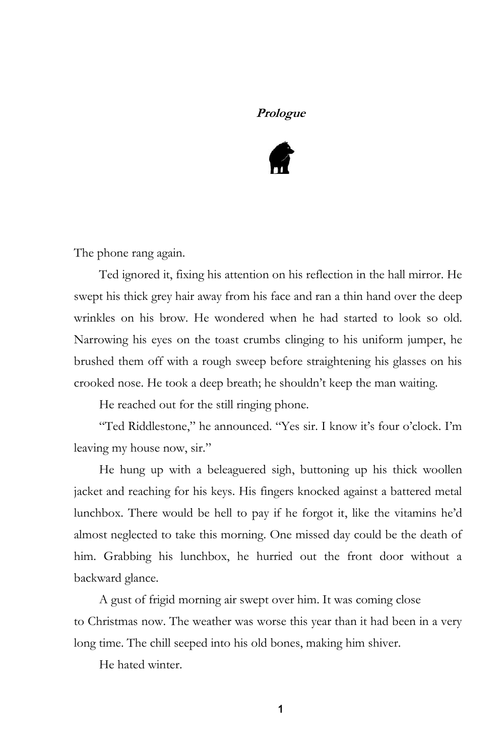#### **Prologue**



The phone rang again.

Ted ignored it, fixing his attention on his reflection in the hall mirror. He swept his thick grey hair away from his face and ran a thin hand over the deep wrinkles on his brow. He wondered when he had started to look so old. Narrowing his eyes on the toast crumbs clinging to his uniform jumper, he brushed them off with a rough sweep before straightening his glasses on his crooked nose. He took a deep breath; he shouldn't keep the man waiting.

He reached out for the still ringing phone.

"Ted Riddlestone," he announced. "Yes sir. I know it's four o'clock. I'm leaving my house now, sir."

He hung up with a beleaguered sigh, buttoning up his thick woollen jacket and reaching for his keys. His fingers knocked against a battered metal lunchbox. There would be hell to pay if he forgot it, like the vitamins he'd almost neglected to take this morning. One missed day could be the death of him. Grabbing his lunchbox, he hurried out the front door without a backward glance.

A gust of frigid morning air swept over him. It was coming close to Christmas now. The weather was worse this year than it had been in a very long time. The chill seeped into his old bones, making him shiver.

He hated winter.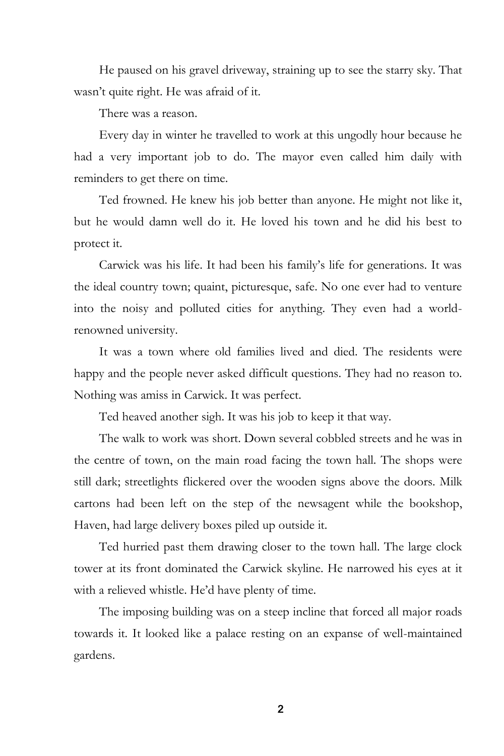He paused on his gravel driveway, straining up to see the starry sky. That wasn't quite right. He was afraid of it.

There was a reason.

Every day in winter he travelled to work at this ungodly hour because he had a very important job to do. The mayor even called him daily with reminders to get there on time.

Ted frowned. He knew his job better than anyone. He might not like it, but he would damn well do it. He loved his town and he did his best to protect it.

Carwick was his life. It had been his family's life for generations. It was the ideal country town; quaint, picturesque, safe. No one ever had to venture into the noisy and polluted cities for anything. They even had a worldrenowned university.

It was a town where old families lived and died. The residents were happy and the people never asked difficult questions. They had no reason to. Nothing was amiss in Carwick. It was perfect.

Ted heaved another sigh. It was his job to keep it that way.

The walk to work was short. Down several cobbled streets and he was in the centre of town, on the main road facing the town hall. The shops were still dark; streetlights flickered over the wooden signs above the doors. Milk cartons had been left on the step of the newsagent while the bookshop, Haven, had large delivery boxes piled up outside it.

Ted hurried past them drawing closer to the town hall. The large clock tower at its front dominated the Carwick skyline. He narrowed his eyes at it with a relieved whistle. He'd have plenty of time.

The imposing building was on a steep incline that forced all major roads towards it. It looked like a palace resting on an expanse of well-maintained gardens.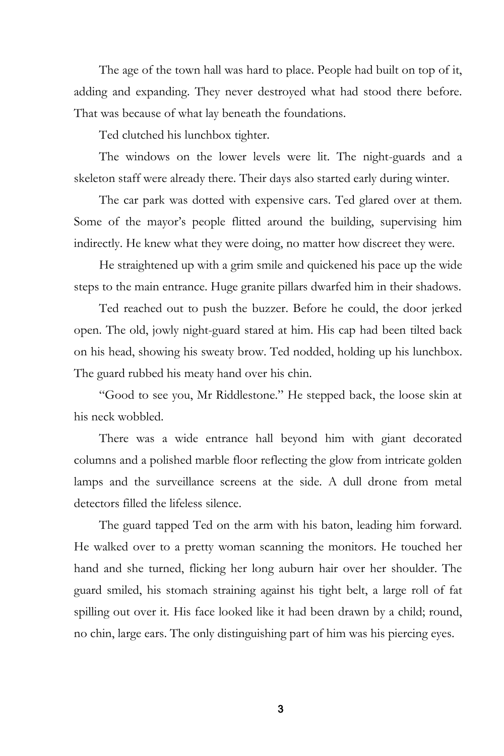The age of the town hall was hard to place. People had built on top of it, adding and expanding. They never destroyed what had stood there before. That was because of what lay beneath the foundations.

Ted clutched his lunchbox tighter.

The windows on the lower levels were lit. The night-guards and a skeleton staff were already there. Their days also started early during winter.

The car park was dotted with expensive cars. Ted glared over at them. Some of the mayor's people flitted around the building, supervising him indirectly. He knew what they were doing, no matter how discreet they were.

He straightened up with a grim smile and quickened his pace up the wide steps to the main entrance. Huge granite pillars dwarfed him in their shadows.

Ted reached out to push the buzzer. Before he could, the door jerked open. The old, jowly night-guard stared at him. His cap had been tilted back on his head, showing his sweaty brow. Ted nodded, holding up his lunchbox. The guard rubbed his meaty hand over his chin.

"Good to see you, Mr Riddlestone." He stepped back, the loose skin at his neck wobbled.

There was a wide entrance hall beyond him with giant decorated columns and a polished marble floor reflecting the glow from intricate golden lamps and the surveillance screens at the side. A dull drone from metal detectors filled the lifeless silence.

The guard tapped Ted on the arm with his baton, leading him forward. He walked over to a pretty woman scanning the monitors. He touched her hand and she turned, flicking her long auburn hair over her shoulder. The guard smiled, his stomach straining against his tight belt, a large roll of fat spilling out over it. His face looked like it had been drawn by a child; round, no chin, large ears. The only distinguishing part of him was his piercing eyes.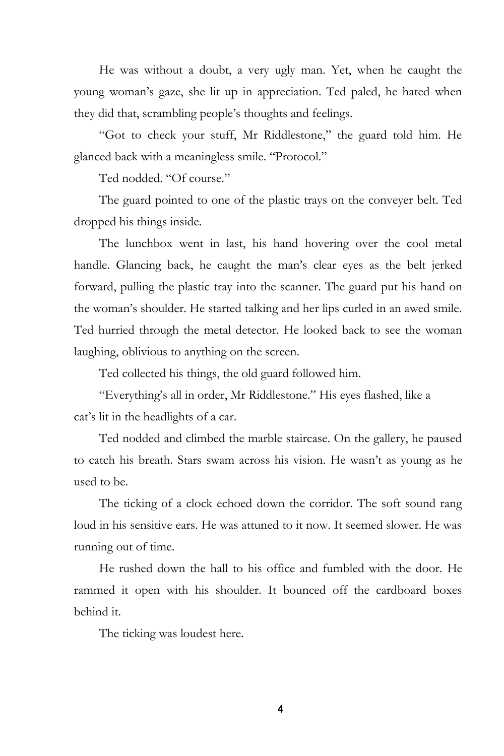He was without a doubt, a very ugly man. Yet, when he caught the young woman's gaze, she lit up in appreciation. Ted paled, he hated when they did that, scrambling people's thoughts and feelings.

"Got to check your stuff, Mr Riddlestone," the guard told him. He glanced back with a meaningless smile. "Protocol."

Ted nodded. "Of course."

The guard pointed to one of the plastic trays on the conveyer belt. Ted dropped his things inside.

The lunchbox went in last, his hand hovering over the cool metal handle. Glancing back, he caught the man's clear eyes as the belt jerked forward, pulling the plastic tray into the scanner. The guard put his hand on the woman's shoulder. He started talking and her lips curled in an awed smile. Ted hurried through the metal detector. He looked back to see the woman laughing, oblivious to anything on the screen.

Ted collected his things, the old guard followed him.

"Everything's all in order, Mr Riddlestone." His eyes flashed, like a cat's lit in the headlights of a car.

Ted nodded and climbed the marble staircase. On the gallery, he paused to catch his breath. Stars swam across his vision. He wasn't as young as he used to be.

The ticking of a clock echoed down the corridor. The soft sound rang loud in his sensitive ears. He was attuned to it now. It seemed slower. He was running out of time.

He rushed down the hall to his office and fumbled with the door. He rammed it open with his shoulder. It bounced off the cardboard boxes behind it.

The ticking was loudest here.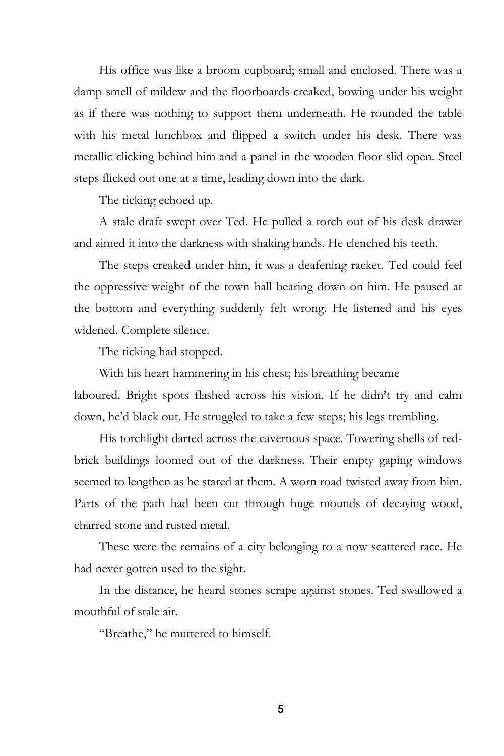His office was like a broom cupboard; small and enclosed. There was a damp smell of mildew and the floorboards creaked, bowing under his weight as if there was nothing to support them underneath. He rounded the table with his metal lunchbox and flipped a switch under his desk. There was metallic clicking behind him and a panel in the wooden floor slid open. Steel steps flicked out one at a time, leading down into the dark.

The ticking echoed up.

A stale draft swept over Ted. He pulled a torch out of his desk drawer and aimed it into the darkness with shaking hands. He clenched his teeth.

The steps creaked under him, it was a deafening racket. Ted could feel the oppressive weight of the town hall bearing down on him. He paused at the bottom and everything suddenly felt wrong. He listened and his eyes widened. Complete silence.

The ticking had stopped.

With his heart hammering in his chest; his breathing became

laboured. Bright spots flashed across his vision. If he didn't try and calm down, he'd black out. He struggled to take a few steps; his legs trembling.

His torchlight darted across the cavernous space. Towering shells of redbrick buildings loomed out of the darkness. Their empty gaping windows seemed to lengthen as he stared at them. A worn road twisted away from him. Parts of the path had been cut through huge mounds of decaying wood, charred stone and rusted metal.

These were the remains of a city belonging to a now scattered race. He had never gotten used to the sight.

In the distance, he heard stones scrape against stones. Ted swallowed a mouthful of stale air.

"Breathe," he muttered to himself.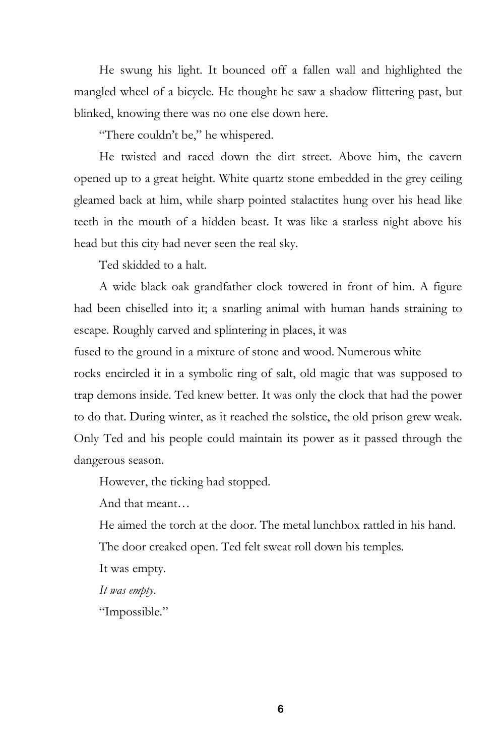He swung his light. It bounced off a fallen wall and highlighted the mangled wheel of a bicycle. He thought he saw a shadow flittering past, but blinked, knowing there was no one else down here.

"There couldn't be," he whispered.

He twisted and raced down the dirt street. Above him, the cavern opened up to a great height. White quartz stone embedded in the grey ceiling gleamed back at him, while sharp pointed stalactites hung over his head like teeth in the mouth of a hidden beast. It was like a starless night above his head but this city had never seen the real sky.

Ted skidded to a halt.

A wide black oak grandfather clock towered in front of him. A figure had been chiselled into it; a snarling animal with human hands straining to escape. Roughly carved and splintering in places, it was

fused to the ground in a mixture of stone and wood. Numerous white

rocks encircled it in a symbolic ring of salt, old magic that was supposed to trap demons inside. Ted knew better. It was only the clock that had the power to do that. During winter, as it reached the solstice, the old prison grew weak. Only Ted and his people could maintain its power as it passed through the dangerous season.

However, the ticking had stopped.

And that meant…

He aimed the torch at the door. The metal lunchbox rattled in his hand.

The door creaked open. Ted felt sweat roll down his temples.

It was empty.

*It was empty*.

"Impossible."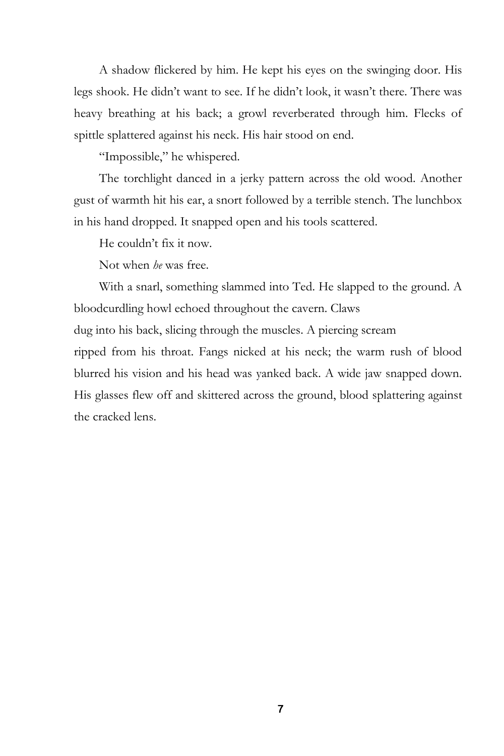A shadow flickered by him. He kept his eyes on the swinging door. His legs shook. He didn't want to see. If he didn't look, it wasn't there. There was heavy breathing at his back; a growl reverberated through him. Flecks of spittle splattered against his neck. His hair stood on end.

"Impossible," he whispered.

The torchlight danced in a jerky pattern across the old wood. Another gust of warmth hit his ear, a snort followed by a terrible stench. The lunchbox in his hand dropped. It snapped open and his tools scattered.

He couldn't fix it now.

Not when *he* was free.

With a snarl, something slammed into Ted. He slapped to the ground. A bloodcurdling howl echoed throughout the cavern. Claws

dug into his back, slicing through the muscles. A piercing scream

ripped from his throat. Fangs nicked at his neck; the warm rush of blood blurred his vision and his head was yanked back. A wide jaw snapped down. His glasses flew off and skittered across the ground, blood splattering against the cracked lens.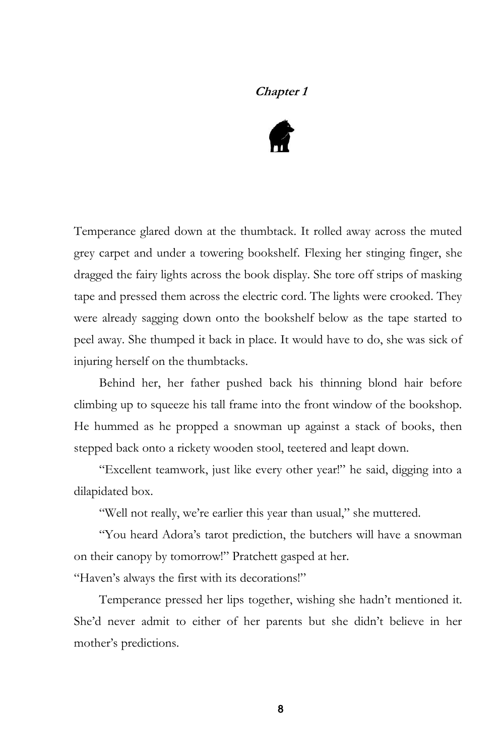# **Chapter 1**



Temperance glared down at the thumbtack. It rolled away across the muted grey carpet and under a towering bookshelf. Flexing her stinging finger, she dragged the fairy lights across the book display. She tore off strips of masking tape and pressed them across the electric cord. The lights were crooked. They were already sagging down onto the bookshelf below as the tape started to peel away. She thumped it back in place. It would have to do, she was sick of injuring herself on the thumbtacks.

Behind her, her father pushed back his thinning blond hair before climbing up to squeeze his tall frame into the front window of the bookshop. He hummed as he propped a snowman up against a stack of books, then stepped back onto a rickety wooden stool, teetered and leapt down.

"Excellent teamwork, just like every other year!" he said, digging into a dilapidated box.

"Well not really, we're earlier this year than usual," she muttered.

"You heard Adora's tarot prediction, the butchers will have a snowman on their canopy by tomorrow!" Pratchett gasped at her.

"Haven's always the first with its decorations!"

Temperance pressed her lips together, wishing she hadn't mentioned it. She'd never admit to either of her parents but she didn't believe in her mother's predictions.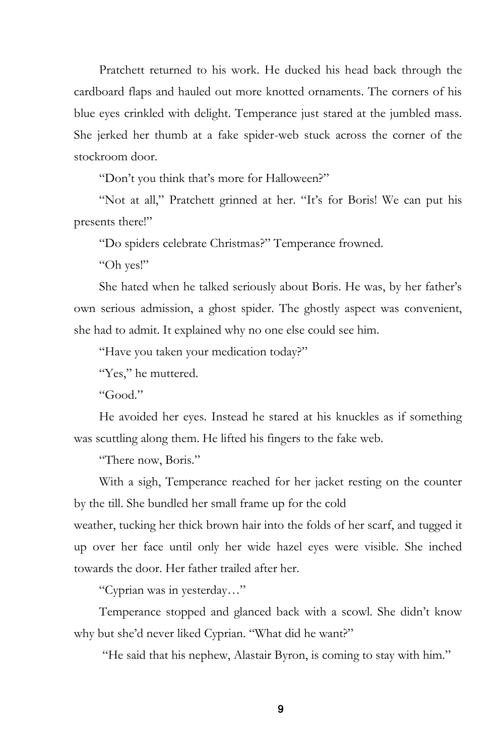Pratchett returned to his work. He ducked his head back through the cardboard flaps and hauled out more knotted ornaments. The corners of his blue eyes crinkled with delight. Temperance just stared at the jumbled mass. She jerked her thumb at a fake spider-web stuck across the corner of the stockroom door.

"Don't you think that's more for Halloween?"

"Not at all," Pratchett grinned at her. "It's for Boris! We can put his presents there!"

"Do spiders celebrate Christmas?" Temperance frowned.

"Oh yes!"

She hated when he talked seriously about Boris. He was, by her father's own serious admission, a ghost spider. The ghostly aspect was convenient, she had to admit. It explained why no one else could see him.

"Have you taken your medication today?"

"Yes," he muttered.

"Good."

He avoided her eyes. Instead he stared at his knuckles as if something was scuttling along them. He lifted his fingers to the fake web.

"There now, Boris."

With a sigh, Temperance reached for her jacket resting on the counter by the till. She bundled her small frame up for the cold

weather, tucking her thick brown hair into the folds of her scarf, and tugged it up over her face until only her wide hazel eyes were visible. She inched towards the door. Her father trailed after her.

"Cyprian was in yesterday…"

Temperance stopped and glanced back with a scowl. She didn't know why but she'd never liked Cyprian. "What did he want?"

"He said that his nephew, Alastair Byron, is coming to stay with him."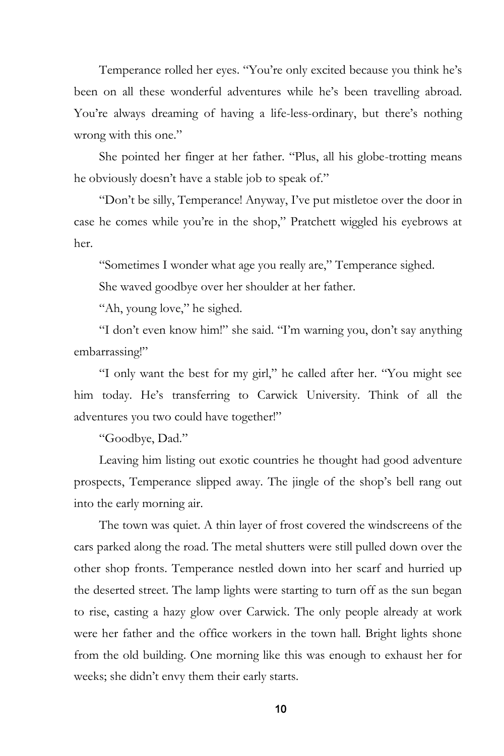Temperance rolled her eyes. "You're only excited because you think he's been on all these wonderful adventures while he's been travelling abroad. You're always dreaming of having a life-less-ordinary, but there's nothing wrong with this one."

She pointed her finger at her father. "Plus, all his globe-trotting means he obviously doesn't have a stable job to speak of."

"Don't be silly, Temperance! Anyway, I've put mistletoe over the door in case he comes while you're in the shop," Pratchett wiggled his eyebrows at her.

"Sometimes I wonder what age you really are," Temperance sighed.

She waved goodbye over her shoulder at her father.

"Ah, young love," he sighed.

"I don't even know him!" she said. "I'm warning you, don't say anything embarrassing!"

"I only want the best for my girl," he called after her. "You might see him today. He's transferring to Carwick University. Think of all the adventures you two could have together!"

"Goodbye, Dad."

Leaving him listing out exotic countries he thought had good adventure prospects, Temperance slipped away. The jingle of the shop's bell rang out into the early morning air.

The town was quiet. A thin layer of frost covered the windscreens of the cars parked along the road. The metal shutters were still pulled down over the other shop fronts. Temperance nestled down into her scarf and hurried up the deserted street. The lamp lights were starting to turn off as the sun began to rise, casting a hazy glow over Carwick. The only people already at work were her father and the office workers in the town hall. Bright lights shone from the old building. One morning like this was enough to exhaust her for weeks; she didn't envy them their early starts.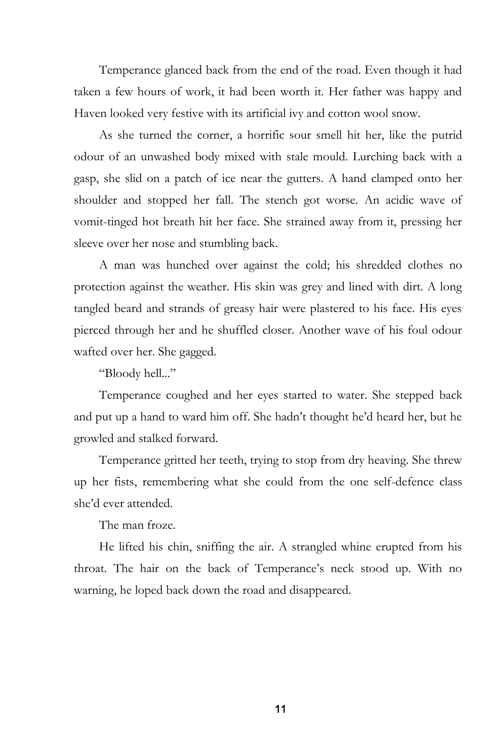Temperance glanced back from the end of the road. Even though it had taken a few hours of work, it had been worth it. Her father was happy and Haven looked very festive with its artificial ivy and cotton wool snow.

As she turned the corner, a horrific sour smell hit her, like the putrid odour of an unwashed body mixed with stale mould. Lurching back with a gasp, she slid on a patch of ice near the gutters. A hand clamped onto her shoulder and stopped her fall. The stench got worse. An acidic wave of vomit-tinged hot breath hit her face. She strained away from it, pressing her sleeve over her nose and stumbling back.

A man was hunched over against the cold; his shredded clothes no protection against the weather. His skin was grey and lined with dirt. A long tangled beard and strands of greasy hair were plastered to his face. His eyes pierced through her and he shuffled closer. Another wave of his foul odour wafted over her. She gagged.

"Bloody hell..."

Temperance coughed and her eyes started to water. She stepped back and put up a hand to ward him off. She hadn't thought he'd heard her, but he growled and stalked forward.

Temperance gritted her teeth, trying to stop from dry heaving. She threw up her fists, remembering what she could from the one self-defence class she'd ever attended.

The man froze.

He lifted his chin, sniffing the air. A strangled whine erupted from his throat. The hair on the back of Temperance's neck stood up. With no warning, he loped back down the road and disappeared.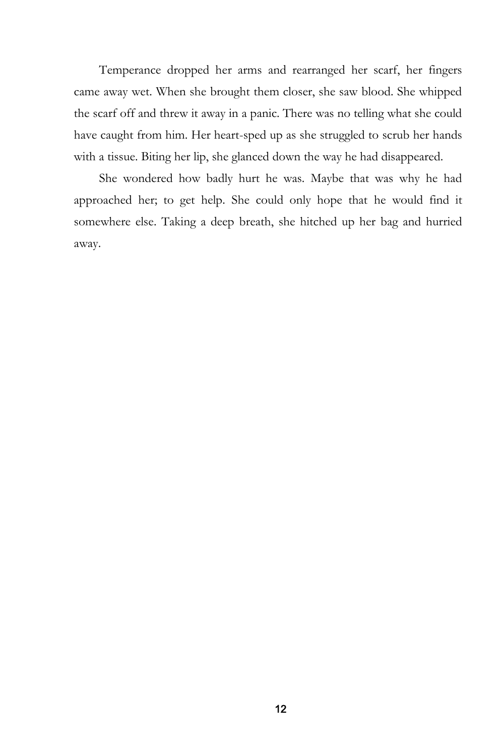Temperance dropped her arms and rearranged her scarf, her fingers came away wet. When she brought them closer, she saw blood. She whipped the scarf off and threw it away in a panic. There was no telling what she could have caught from him. Her heart-sped up as she struggled to scrub her hands with a tissue. Biting her lip, she glanced down the way he had disappeared.

She wondered how badly hurt he was. Maybe that was why he had approached her; to get help. She could only hope that he would find it somewhere else. Taking a deep breath, she hitched up her bag and hurried away.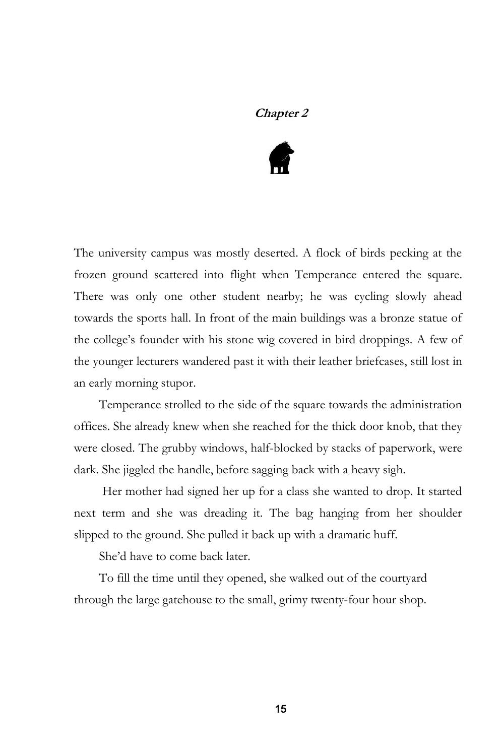### **Chapter 2**



The university campus was mostly deserted. A flock of birds pecking at the frozen ground scattered into flight when Temperance entered the square. There was only one other student nearby; he was cycling slowly ahead towards the sports hall. In front of the main buildings was a bronze statue of the college's founder with his stone wig covered in bird droppings. A few of the younger lecturers wandered past it with their leather briefcases, still lost in an early morning stupor.

Temperance strolled to the side of the square towards the administration offices. She already knew when she reached for the thick door knob, that they were closed. The grubby windows, half-blocked by stacks of paperwork, were dark. She jiggled the handle, before sagging back with a heavy sigh.

Her mother had signed her up for a class she wanted to drop. It started next term and she was dreading it. The bag hanging from her shoulder slipped to the ground. She pulled it back up with a dramatic huff.

She'd have to come back later.

To fill the time until they opened, she walked out of the courtyard through the large gatehouse to the small, grimy twenty-four hour shop.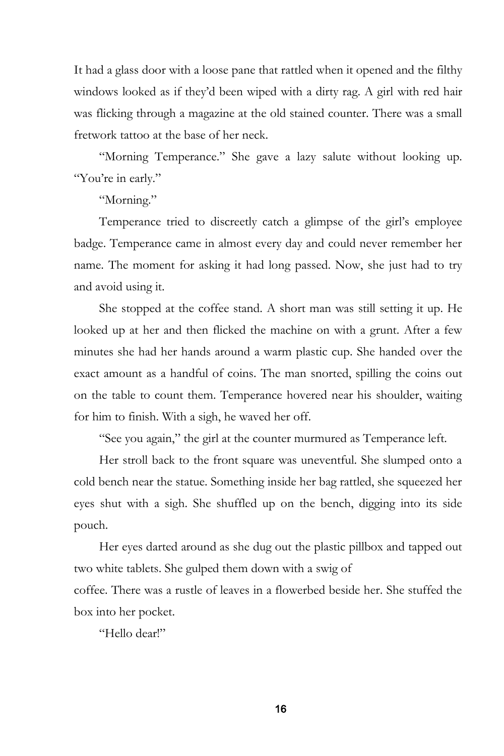It had a glass door with a loose pane that rattled when it opened and the filthy windows looked as if they'd been wiped with a dirty rag. A girl with red hair was flicking through a magazine at the old stained counter. There was a small fretwork tattoo at the base of her neck.

"Morning Temperance." She gave a lazy salute without looking up. "You're in early."

"Morning."

Temperance tried to discreetly catch a glimpse of the girl's employee badge. Temperance came in almost every day and could never remember her name. The moment for asking it had long passed. Now, she just had to try and avoid using it.

She stopped at the coffee stand. A short man was still setting it up. He looked up at her and then flicked the machine on with a grunt. After a few minutes she had her hands around a warm plastic cup. She handed over the exact amount as a handful of coins. The man snorted, spilling the coins out on the table to count them. Temperance hovered near his shoulder, waiting for him to finish. With a sigh, he waved her off.

"See you again," the girl at the counter murmured as Temperance left.

Her stroll back to the front square was uneventful. She slumped onto a cold bench near the statue. Something inside her bag rattled, she squeezed her eyes shut with a sigh. She shuffled up on the bench, digging into its side pouch.

Her eyes darted around as she dug out the plastic pillbox and tapped out two white tablets. She gulped them down with a swig of

coffee. There was a rustle of leaves in a flowerbed beside her. She stuffed the box into her pocket.

"Hello dear!"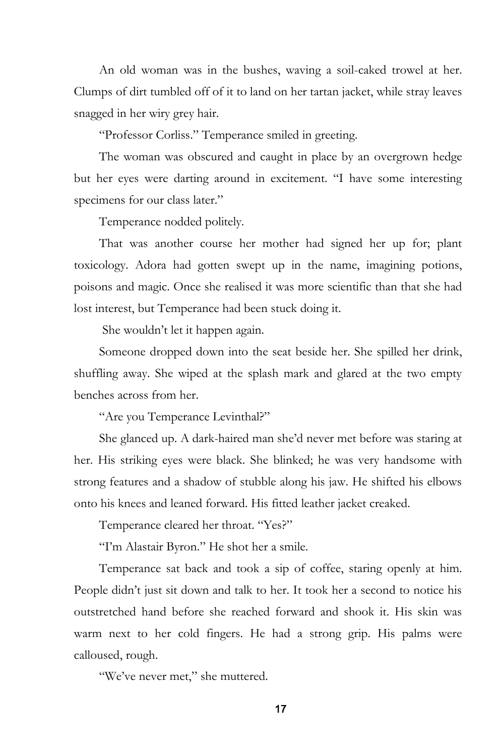An old woman was in the bushes, waving a soil-caked trowel at her. Clumps of dirt tumbled off of it to land on her tartan jacket, while stray leaves snagged in her wiry grey hair.

"Professor Corliss." Temperance smiled in greeting.

The woman was obscured and caught in place by an overgrown hedge but her eyes were darting around in excitement. "I have some interesting specimens for our class later."

Temperance nodded politely.

That was another course her mother had signed her up for; plant toxicology. Adora had gotten swept up in the name, imagining potions, poisons and magic. Once she realised it was more scientific than that she had lost interest, but Temperance had been stuck doing it.

She wouldn't let it happen again.

Someone dropped down into the seat beside her. She spilled her drink, shuffling away. She wiped at the splash mark and glared at the two empty benches across from her.

"Are you Temperance Levinthal?"

She glanced up. A dark-haired man she'd never met before was staring at her. His striking eyes were black. She blinked; he was very handsome with strong features and a shadow of stubble along his jaw. He shifted his elbows onto his knees and leaned forward. His fitted leather jacket creaked.

Temperance cleared her throat. "Yes?"

"I'm Alastair Byron." He shot her a smile.

Temperance sat back and took a sip of coffee, staring openly at him. People didn't just sit down and talk to her. It took her a second to notice his outstretched hand before she reached forward and shook it. His skin was warm next to her cold fingers. He had a strong grip. His palms were calloused, rough.

"We've never met," she muttered.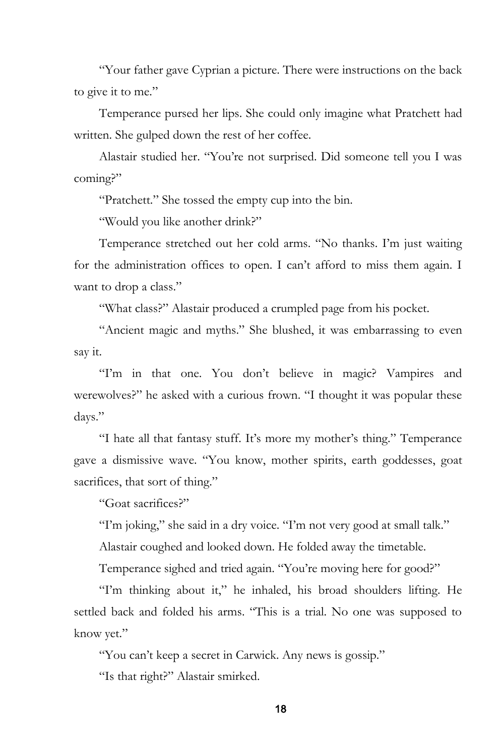"Your father gave Cyprian a picture. There were instructions on the back to give it to me."

Temperance pursed her lips. She could only imagine what Pratchett had written. She gulped down the rest of her coffee.

Alastair studied her. "You're not surprised. Did someone tell you I was coming?"

"Pratchett." She tossed the empty cup into the bin.

"Would you like another drink?"

Temperance stretched out her cold arms. "No thanks. I'm just waiting for the administration offices to open. I can't afford to miss them again. I want to drop a class."

"What class?" Alastair produced a crumpled page from his pocket.

"Ancient magic and myths." She blushed, it was embarrassing to even say it.

"I'm in that one. You don't believe in magic? Vampires and werewolves?" he asked with a curious frown. "I thought it was popular these days."

"I hate all that fantasy stuff. It's more my mother's thing." Temperance gave a dismissive wave. "You know, mother spirits, earth goddesses, goat sacrifices, that sort of thing."

"Goat sacrifices?"

"I'm joking," she said in a dry voice. "I'm not very good at small talk."

Alastair coughed and looked down. He folded away the timetable.

Temperance sighed and tried again. "You're moving here for good?"

"I'm thinking about it," he inhaled, his broad shoulders lifting. He settled back and folded his arms. "This is a trial. No one was supposed to know yet."

"You can't keep a secret in Carwick. Any news is gossip."

"Is that right?" Alastair smirked.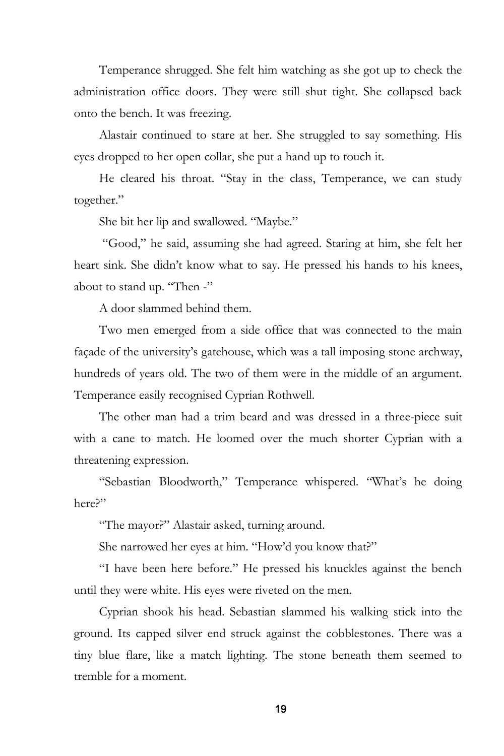Temperance shrugged. She felt him watching as she got up to check the administration office doors. They were still shut tight. She collapsed back onto the bench. It was freezing.

Alastair continued to stare at her. She struggled to say something. His eyes dropped to her open collar, she put a hand up to touch it.

He cleared his throat. "Stay in the class, Temperance, we can study together."

She bit her lip and swallowed. "Maybe."

"Good," he said, assuming she had agreed. Staring at him, she felt her heart sink. She didn't know what to say. He pressed his hands to his knees, about to stand up. "Then -"

A door slammed behind them.

Two men emerged from a side office that was connected to the main façade of the university's gatehouse, which was a tall imposing stone archway, hundreds of years old. The two of them were in the middle of an argument. Temperance easily recognised Cyprian Rothwell.

The other man had a trim beard and was dressed in a three-piece suit with a cane to match. He loomed over the much shorter Cyprian with a threatening expression.

"Sebastian Bloodworth," Temperance whispered. "What's he doing here?"

"The mayor?" Alastair asked, turning around.

She narrowed her eyes at him. "How'd you know that?"

"I have been here before." He pressed his knuckles against the bench until they were white. His eyes were riveted on the men.

Cyprian shook his head. Sebastian slammed his walking stick into the ground. Its capped silver end struck against the cobblestones. There was a tiny blue flare, like a match lighting. The stone beneath them seemed to tremble for a moment.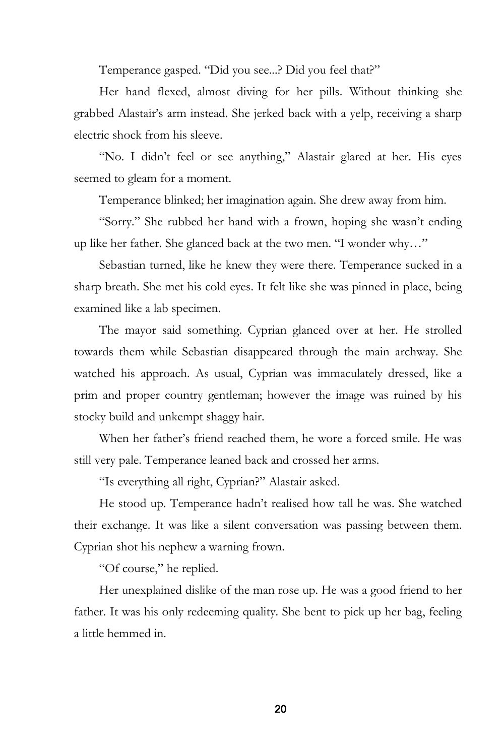Temperance gasped. "Did you see...? Did you feel that?"

Her hand flexed, almost diving for her pills. Without thinking she grabbed Alastair's arm instead. She jerked back with a yelp, receiving a sharp electric shock from his sleeve.

"No. I didn't feel or see anything," Alastair glared at her. His eyes seemed to gleam for a moment.

Temperance blinked; her imagination again. She drew away from him.

"Sorry." She rubbed her hand with a frown, hoping she wasn't ending up like her father. She glanced back at the two men. "I wonder why…"

Sebastian turned, like he knew they were there. Temperance sucked in a sharp breath. She met his cold eyes. It felt like she was pinned in place, being examined like a lab specimen.

The mayor said something. Cyprian glanced over at her. He strolled towards them while Sebastian disappeared through the main archway. She watched his approach. As usual, Cyprian was immaculately dressed, like a prim and proper country gentleman; however the image was ruined by his stocky build and unkempt shaggy hair.

When her father's friend reached them, he wore a forced smile. He was still very pale. Temperance leaned back and crossed her arms.

"Is everything all right, Cyprian?" Alastair asked.

He stood up. Temperance hadn't realised how tall he was. She watched their exchange. It was like a silent conversation was passing between them. Cyprian shot his nephew a warning frown.

"Of course," he replied.

Her unexplained dislike of the man rose up. He was a good friend to her father. It was his only redeeming quality. She bent to pick up her bag, feeling a little hemmed in.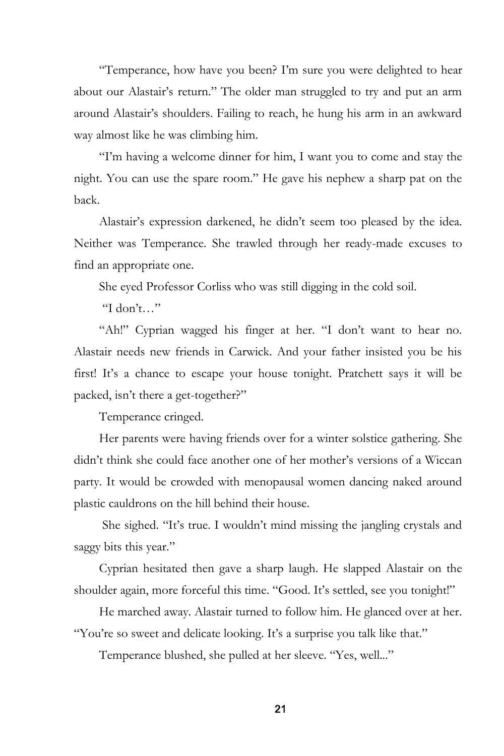"Temperance, how have you been? I'm sure you were delighted to hear about our Alastair's return." The older man struggled to try and put an arm around Alastair's shoulders. Failing to reach, he hung his arm in an awkward way almost like he was climbing him.

"I'm having a welcome dinner for him, I want you to come and stay the night. You can use the spare room." He gave his nephew a sharp pat on the back.

Alastair's expression darkened, he didn't seem too pleased by the idea. Neither was Temperance. She trawled through her ready-made excuses to find an appropriate one.

She eyed Professor Corliss who was still digging in the cold soil.

"I don't…"

"Ah!" Cyprian wagged his finger at her. "I don't want to hear no. Alastair needs new friends in Carwick. And your father insisted you be his first! It's a chance to escape your house tonight. Pratchett says it will be packed, isn't there a get-together?"

Temperance cringed.

Her parents were having friends over for a winter solstice gathering. She didn't think she could face another one of her mother's versions of a Wiccan party. It would be crowded with menopausal women dancing naked around plastic cauldrons on the hill behind their house.

She sighed. "It's true. I wouldn't mind missing the jangling crystals and saggy bits this year."

Cyprian hesitated then gave a sharp laugh. He slapped Alastair on the shoulder again, more forceful this time. "Good. It's settled, see you tonight!"

He marched away. Alastair turned to follow him. He glanced over at her. "You're so sweet and delicate looking. It's a surprise you talk like that."

Temperance blushed, she pulled at her sleeve. "Yes, well..."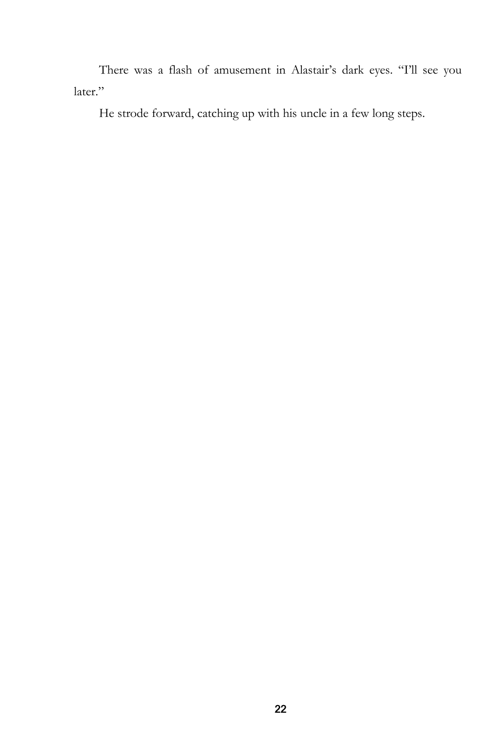There was a flash of amusement in Alastair's dark eyes. "I'll see you later."

He strode forward, catching up with his uncle in a few long steps.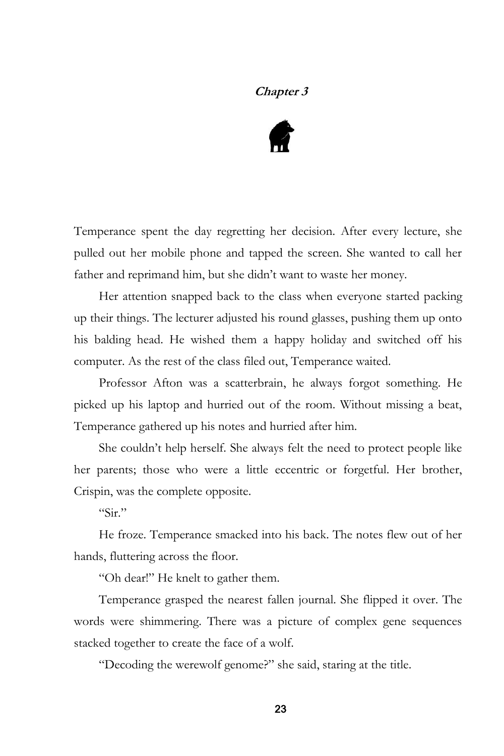# **Chapter 3**



Temperance spent the day regretting her decision. After every lecture, she pulled out her mobile phone and tapped the screen. She wanted to call her father and reprimand him, but she didn't want to waste her money.

Her attention snapped back to the class when everyone started packing up their things. The lecturer adjusted his round glasses, pushing them up onto his balding head. He wished them a happy holiday and switched off his computer. As the rest of the class filed out, Temperance waited.

Professor Afton was a scatterbrain, he always forgot something. He picked up his laptop and hurried out of the room. Without missing a beat, Temperance gathered up his notes and hurried after him.

She couldn't help herself. She always felt the need to protect people like her parents; those who were a little eccentric or forgetful. Her brother, Crispin, was the complete opposite.

 $\frac{1}{\sin 2}$ 

He froze. Temperance smacked into his back. The notes flew out of her hands, fluttering across the floor.

"Oh dear!" He knelt to gather them.

Temperance grasped the nearest fallen journal. She flipped it over. The words were shimmering. There was a picture of complex gene sequences stacked together to create the face of a wolf.

"Decoding the werewolf genome?" she said, staring at the title.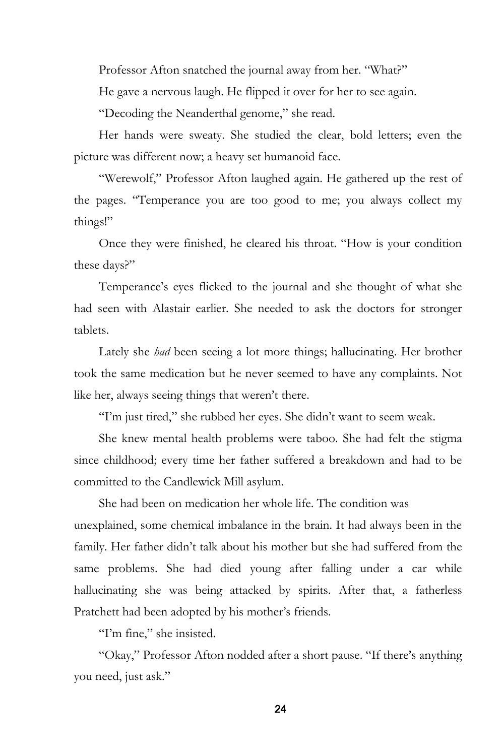Professor Afton snatched the journal away from her. "What?"

He gave a nervous laugh. He flipped it over for her to see again.

"Decoding the Neanderthal genome," she read.

Her hands were sweaty. She studied the clear, bold letters; even the picture was different now; a heavy set humanoid face.

"Werewolf," Professor Afton laughed again. He gathered up the rest of the pages. "Temperance you are too good to me; you always collect my things!"

Once they were finished, he cleared his throat. "How is your condition these days?"

Temperance's eyes flicked to the journal and she thought of what she had seen with Alastair earlier. She needed to ask the doctors for stronger tablets.

Lately she *had* been seeing a lot more things; hallucinating. Her brother took the same medication but he never seemed to have any complaints. Not like her, always seeing things that weren't there.

"I'm just tired," she rubbed her eyes. She didn't want to seem weak.

She knew mental health problems were taboo. She had felt the stigma since childhood; every time her father suffered a breakdown and had to be committed to the Candlewick Mill asylum.

She had been on medication her whole life. The condition was unexplained, some chemical imbalance in the brain. It had always been in the family. Her father didn't talk about his mother but she had suffered from the same problems. She had died young after falling under a car while hallucinating she was being attacked by spirits. After that, a fatherless Pratchett had been adopted by his mother's friends.

"I'm fine," she insisted.

"Okay," Professor Afton nodded after a short pause. "If there's anything you need, just ask."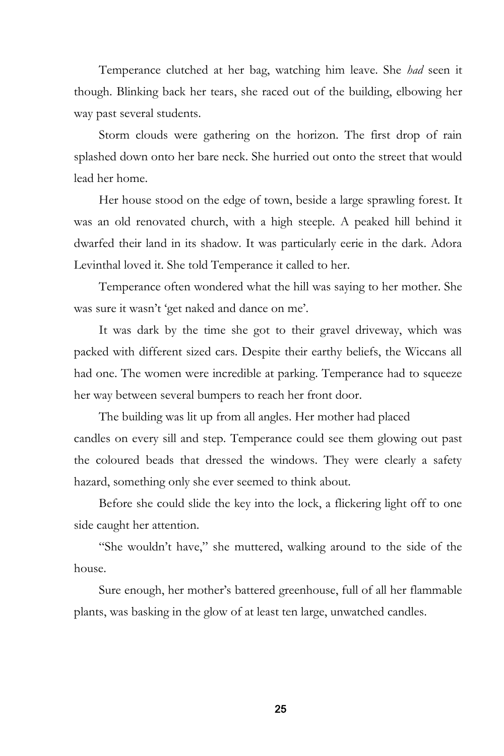Temperance clutched at her bag, watching him leave. She *had* seen it though. Blinking back her tears, she raced out of the building, elbowing her way past several students.

Storm clouds were gathering on the horizon. The first drop of rain splashed down onto her bare neck. She hurried out onto the street that would lead her home.

Her house stood on the edge of town, beside a large sprawling forest. It was an old renovated church, with a high steeple. A peaked hill behind it dwarfed their land in its shadow. It was particularly eerie in the dark. Adora Levinthal loved it. She told Temperance it called to her.

Temperance often wondered what the hill was saying to her mother. She was sure it wasn't 'get naked and dance on me'.

It was dark by the time she got to their gravel driveway, which was packed with different sized cars. Despite their earthy beliefs, the Wiccans all had one. The women were incredible at parking. Temperance had to squeeze her way between several bumpers to reach her front door.

The building was lit up from all angles. Her mother had placed candles on every sill and step. Temperance could see them glowing out past the coloured beads that dressed the windows. They were clearly a safety hazard, something only she ever seemed to think about.

Before she could slide the key into the lock, a flickering light off to one side caught her attention.

"She wouldn't have," she muttered, walking around to the side of the house.

Sure enough, her mother's battered greenhouse, full of all her flammable plants, was basking in the glow of at least ten large, unwatched candles.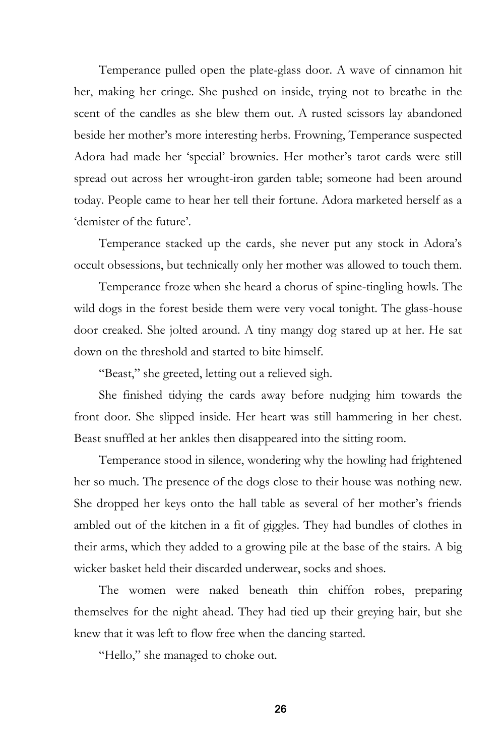Temperance pulled open the plate-glass door. A wave of cinnamon hit her, making her cringe. She pushed on inside, trying not to breathe in the scent of the candles as she blew them out. A rusted scissors lay abandoned beside her mother's more interesting herbs. Frowning, Temperance suspected Adora had made her 'special' brownies. Her mother's tarot cards were still spread out across her wrought-iron garden table; someone had been around today. People came to hear her tell their fortune. Adora marketed herself as a 'demister of the future'.

Temperance stacked up the cards, she never put any stock in Adora's occult obsessions, but technically only her mother was allowed to touch them.

Temperance froze when she heard a chorus of spine-tingling howls. The wild dogs in the forest beside them were very vocal tonight. The glass-house door creaked. She jolted around. A tiny mangy dog stared up at her. He sat down on the threshold and started to bite himself.

"Beast," she greeted, letting out a relieved sigh.

She finished tidying the cards away before nudging him towards the front door. She slipped inside. Her heart was still hammering in her chest. Beast snuffled at her ankles then disappeared into the sitting room.

Temperance stood in silence, wondering why the howling had frightened her so much. The presence of the dogs close to their house was nothing new. She dropped her keys onto the hall table as several of her mother's friends ambled out of the kitchen in a fit of giggles. They had bundles of clothes in their arms, which they added to a growing pile at the base of the stairs. A big wicker basket held their discarded underwear, socks and shoes.

The women were naked beneath thin chiffon robes, preparing themselves for the night ahead. They had tied up their greying hair, but she knew that it was left to flow free when the dancing started.

"Hello," she managed to choke out.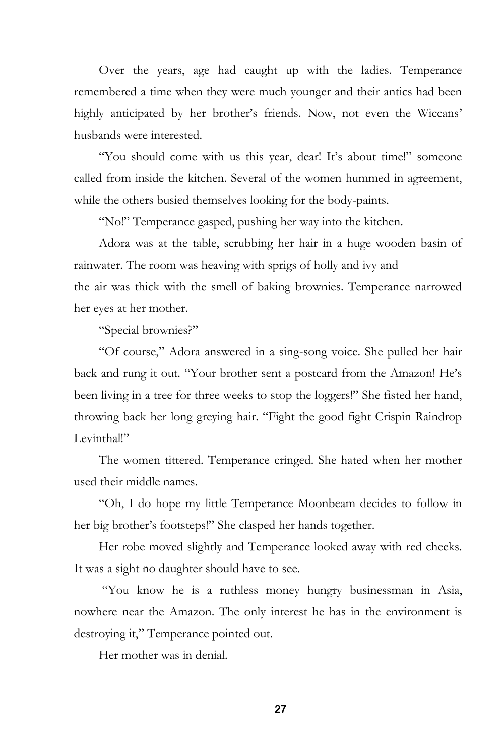Over the years, age had caught up with the ladies. Temperance remembered a time when they were much younger and their antics had been highly anticipated by her brother's friends. Now, not even the Wiccans' husbands were interested.

"You should come with us this year, dear! It's about time!" someone called from inside the kitchen. Several of the women hummed in agreement, while the others busied themselves looking for the body-paints.

"No!" Temperance gasped, pushing her way into the kitchen.

Adora was at the table, scrubbing her hair in a huge wooden basin of rainwater. The room was heaving with sprigs of holly and ivy and the air was thick with the smell of baking brownies. Temperance narrowed her eyes at her mother.

"Special brownies?"

"Of course," Adora answered in a sing-song voice. She pulled her hair back and rung it out. "Your brother sent a postcard from the Amazon! He's been living in a tree for three weeks to stop the loggers!" She fisted her hand, throwing back her long greying hair. "Fight the good fight Crispin Raindrop Levinthal!"

The women tittered. Temperance cringed. She hated when her mother used their middle names.

"Oh, I do hope my little Temperance Moonbeam decides to follow in her big brother's footsteps!" She clasped her hands together.

Her robe moved slightly and Temperance looked away with red cheeks. It was a sight no daughter should have to see.

"You know he is a ruthless money hungry businessman in Asia, nowhere near the Amazon. The only interest he has in the environment is destroying it," Temperance pointed out.

Her mother was in denial.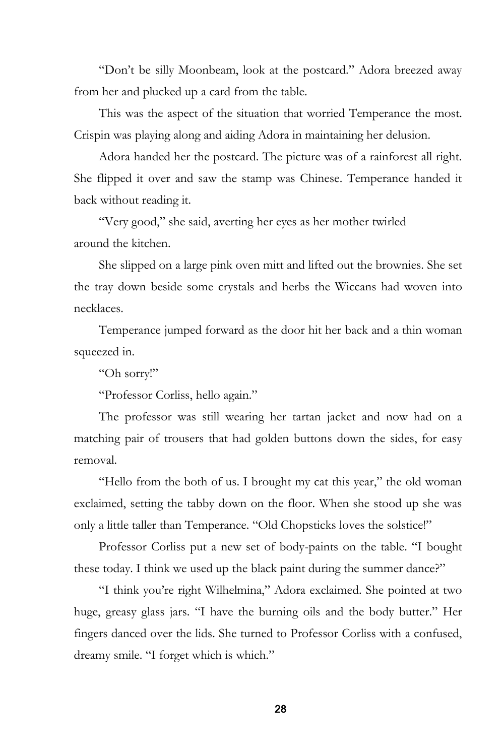"Don't be silly Moonbeam, look at the postcard." Adora breezed away from her and plucked up a card from the table.

This was the aspect of the situation that worried Temperance the most. Crispin was playing along and aiding Adora in maintaining her delusion.

Adora handed her the postcard. The picture was of a rainforest all right. She flipped it over and saw the stamp was Chinese. Temperance handed it back without reading it.

"Very good," she said, averting her eyes as her mother twirled around the kitchen.

She slipped on a large pink oven mitt and lifted out the brownies. She set the tray down beside some crystals and herbs the Wiccans had woven into necklaces.

Temperance jumped forward as the door hit her back and a thin woman squeezed in.

"Oh sorry!"

"Professor Corliss, hello again."

The professor was still wearing her tartan jacket and now had on a matching pair of trousers that had golden buttons down the sides, for easy removal.

"Hello from the both of us. I brought my cat this year," the old woman exclaimed, setting the tabby down on the floor. When she stood up she was only a little taller than Temperance. "Old Chopsticks loves the solstice!"

Professor Corliss put a new set of body-paints on the table. "I bought these today. I think we used up the black paint during the summer dance?"

"I think you're right Wilhelmina," Adora exclaimed. She pointed at two huge, greasy glass jars. "I have the burning oils and the body butter." Her fingers danced over the lids. She turned to Professor Corliss with a confused, dreamy smile. "I forget which is which."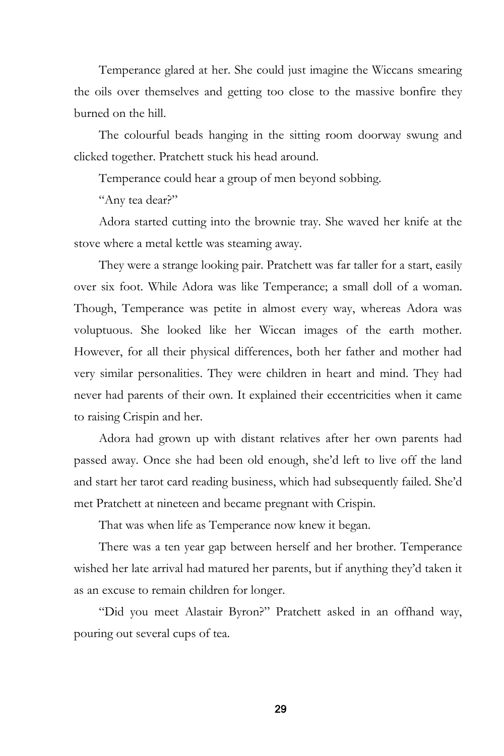Temperance glared at her. She could just imagine the Wiccans smearing the oils over themselves and getting too close to the massive bonfire they burned on the hill.

The colourful beads hanging in the sitting room doorway swung and clicked together. Pratchett stuck his head around.

Temperance could hear a group of men beyond sobbing.

"Any tea dear?"

Adora started cutting into the brownie tray. She waved her knife at the stove where a metal kettle was steaming away.

They were a strange looking pair. Pratchett was far taller for a start, easily over six foot. While Adora was like Temperance; a small doll of a woman. Though, Temperance was petite in almost every way, whereas Adora was voluptuous. She looked like her Wiccan images of the earth mother. However, for all their physical differences, both her father and mother had very similar personalities. They were children in heart and mind. They had never had parents of their own. It explained their eccentricities when it came to raising Crispin and her.

Adora had grown up with distant relatives after her own parents had passed away. Once she had been old enough, she'd left to live off the land and start her tarot card reading business, which had subsequently failed. She'd met Pratchett at nineteen and became pregnant with Crispin.

That was when life as Temperance now knew it began.

There was a ten year gap between herself and her brother. Temperance wished her late arrival had matured her parents, but if anything they'd taken it as an excuse to remain children for longer.

"Did you meet Alastair Byron?" Pratchett asked in an offhand way, pouring out several cups of tea.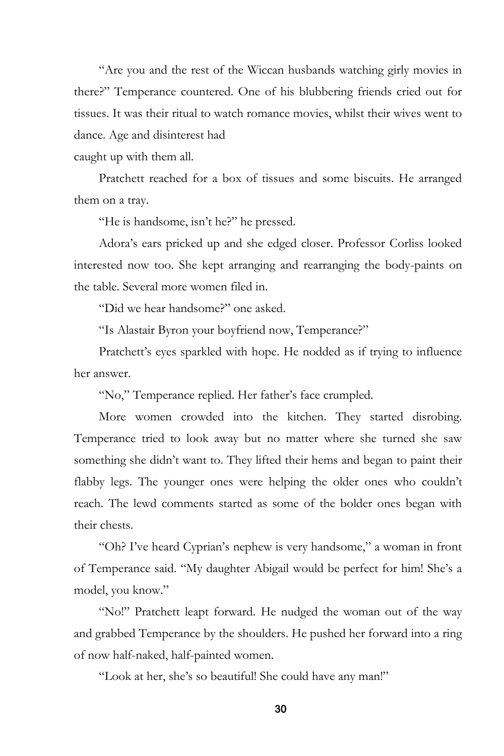"Are you and the rest of the Wiccan husbands watching girly movies in there?" Temperance countered. One of his blubbering friends cried out for tissues. It was their ritual to watch romance movies, whilst their wives went to dance. Age and disinterest had

caught up with them all.

Pratchett reached for a box of tissues and some biscuits. He arranged them on a tray.

"He is handsome, isn't he?" he pressed.

Adora's ears pricked up and she edged closer. Professor Corliss looked interested now too. She kept arranging and rearranging the body-paints on the table. Several more women filed in.

"Did we hear handsome?" one asked.

"Is Alastair Byron your boyfriend now, Temperance?"

Pratchett's eyes sparkled with hope. He nodded as if trying to influence her answer.

"No," Temperance replied. Her father's face crumpled.

More women crowded into the kitchen. They started disrobing. Temperance tried to look away but no matter where she turned she saw something she didn't want to. They lifted their hems and began to paint their flabby legs. The younger ones were helping the older ones who couldn't reach. The lewd comments started as some of the bolder ones began with their chests.

"Oh? I've heard Cyprian's nephew is very handsome," a woman in front of Temperance said. "My daughter Abigail would be perfect for him! She's a model, you know."

"No!" Pratchett leapt forward. He nudged the woman out of the way and grabbed Temperance by the shoulders. He pushed her forward into a ring of now half-naked, half-painted women.

"Look at her, she's so beautiful! She could have any man!"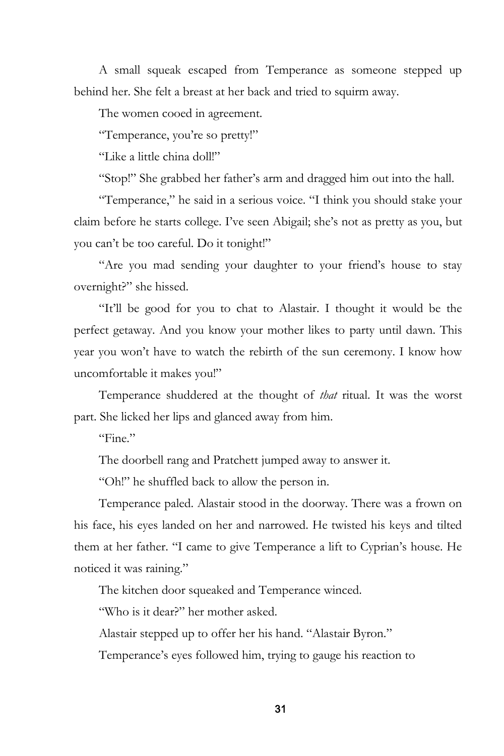A small squeak escaped from Temperance as someone stepped up behind her. She felt a breast at her back and tried to squirm away.

The women cooed in agreement.

"Temperance, you're so pretty!"

"Like a little china doll!"

"Stop!" She grabbed her father's arm and dragged him out into the hall.

"Temperance," he said in a serious voice. "I think you should stake your claim before he starts college. I've seen Abigail; she's not as pretty as you, but you can't be too careful. Do it tonight!"

"Are you mad sending your daughter to your friend's house to stay overnight?" she hissed.

"It'll be good for you to chat to Alastair. I thought it would be the perfect getaway. And you know your mother likes to party until dawn. This year you won't have to watch the rebirth of the sun ceremony. I know how uncomfortable it makes you!"

Temperance shuddered at the thought of *that* ritual. It was the worst part. She licked her lips and glanced away from him.

"Fine"

The doorbell rang and Pratchett jumped away to answer it.

"Oh!" he shuffled back to allow the person in.

Temperance paled. Alastair stood in the doorway. There was a frown on his face, his eyes landed on her and narrowed. He twisted his keys and tilted them at her father. "I came to give Temperance a lift to Cyprian's house. He noticed it was raining."

The kitchen door squeaked and Temperance winced.

"Who is it dear?" her mother asked.

Alastair stepped up to offer her his hand. "Alastair Byron."

Temperance's eyes followed him, trying to gauge his reaction to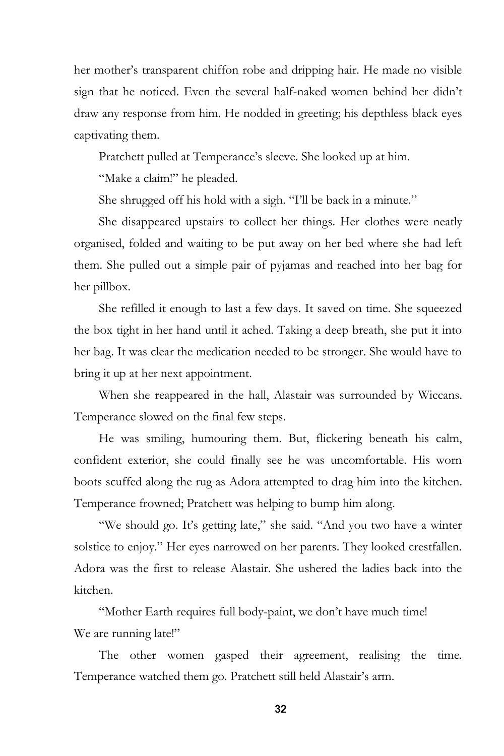her mother's transparent chiffon robe and dripping hair. He made no visible sign that he noticed. Even the several half-naked women behind her didn't draw any response from him. He nodded in greeting; his depthless black eyes captivating them.

Pratchett pulled at Temperance's sleeve. She looked up at him.

"Make a claim!" he pleaded.

She shrugged off his hold with a sigh. "I'll be back in a minute."

She disappeared upstairs to collect her things. Her clothes were neatly organised, folded and waiting to be put away on her bed where she had left them. She pulled out a simple pair of pyjamas and reached into her bag for her pillbox.

She refilled it enough to last a few days. It saved on time. She squeezed the box tight in her hand until it ached. Taking a deep breath, she put it into her bag. It was clear the medication needed to be stronger. She would have to bring it up at her next appointment.

When she reappeared in the hall, Alastair was surrounded by Wiccans. Temperance slowed on the final few steps.

He was smiling, humouring them. But, flickering beneath his calm, confident exterior, she could finally see he was uncomfortable. His worn boots scuffed along the rug as Adora attempted to drag him into the kitchen. Temperance frowned; Pratchett was helping to bump him along.

"We should go. It's getting late," she said. "And you two have a winter solstice to enjoy." Her eyes narrowed on her parents. They looked crestfallen. Adora was the first to release Alastair. She ushered the ladies back into the kitchen.

"Mother Earth requires full body-paint, we don't have much time! We are running late!"

The other women gasped their agreement, realising the time. Temperance watched them go. Pratchett still held Alastair's arm.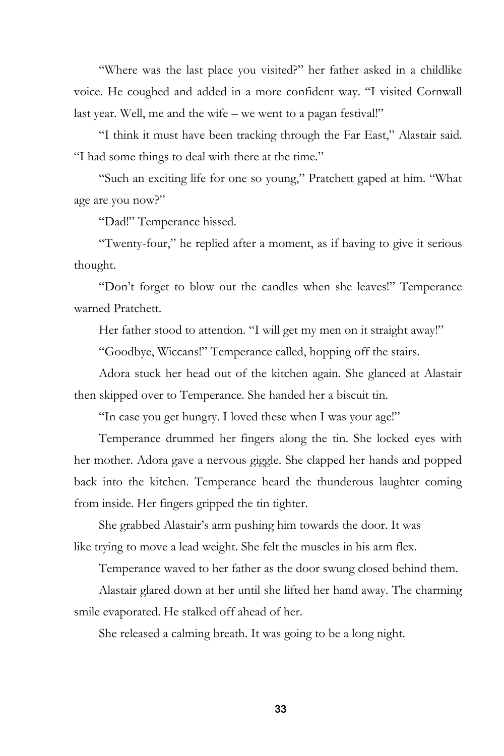"Where was the last place you visited?" her father asked in a childlike voice. He coughed and added in a more confident way. "I visited Cornwall last year. Well, me and the wife – we went to a pagan festival!"

"I think it must have been tracking through the Far East," Alastair said. "I had some things to deal with there at the time."

"Such an exciting life for one so young," Pratchett gaped at him. "What age are you now?"

"Dad!" Temperance hissed.

"Twenty-four," he replied after a moment, as if having to give it serious thought.

"Don't forget to blow out the candles when she leaves!" Temperance warned Pratchett.

Her father stood to attention. "I will get my men on it straight away!"

"Goodbye, Wiccans!" Temperance called, hopping off the stairs.

Adora stuck her head out of the kitchen again. She glanced at Alastair then skipped over to Temperance. She handed her a biscuit tin.

"In case you get hungry. I loved these when I was your age!"

Temperance drummed her fingers along the tin. She locked eyes with her mother. Adora gave a nervous giggle. She clapped her hands and popped back into the kitchen. Temperance heard the thunderous laughter coming from inside. Her fingers gripped the tin tighter.

She grabbed Alastair's arm pushing him towards the door. It was like trying to move a lead weight. She felt the muscles in his arm flex.

Temperance waved to her father as the door swung closed behind them.

Alastair glared down at her until she lifted her hand away. The charming smile evaporated. He stalked off ahead of her.

She released a calming breath. It was going to be a long night.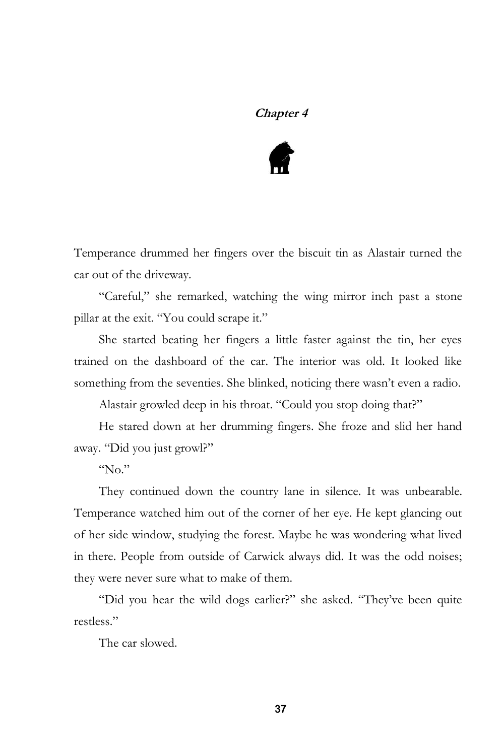# **Chapter 4**



Temperance drummed her fingers over the biscuit tin as Alastair turned the car out of the driveway.

"Careful," she remarked, watching the wing mirror inch past a stone pillar at the exit. "You could scrape it."

She started beating her fingers a little faster against the tin, her eyes trained on the dashboard of the car. The interior was old. It looked like something from the seventies. She blinked, noticing there wasn't even a radio.

Alastair growled deep in his throat. "Could you stop doing that?"

He stared down at her drumming fingers. She froze and slid her hand away. "Did you just growl?"

"No."

They continued down the country lane in silence. It was unbearable. Temperance watched him out of the corner of her eye. He kept glancing out of her side window, studying the forest. Maybe he was wondering what lived in there. People from outside of Carwick always did. It was the odd noises; they were never sure what to make of them.

"Did you hear the wild dogs earlier?" she asked. "They've been quite restless."

The car slowed.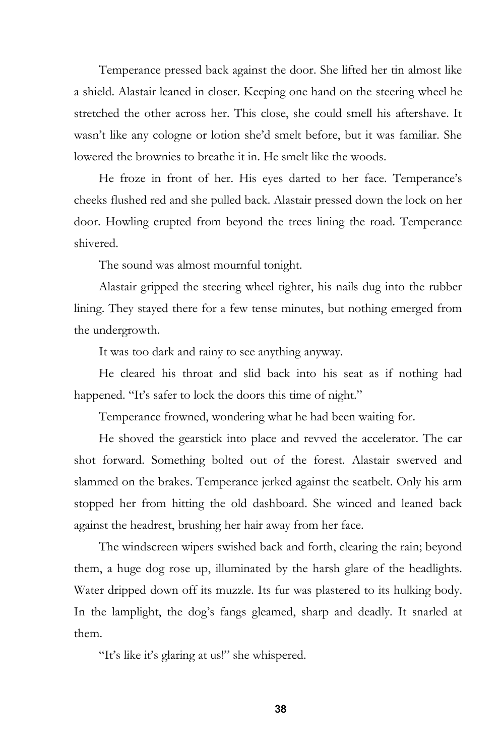Temperance pressed back against the door. She lifted her tin almost like a shield. Alastair leaned in closer. Keeping one hand on the steering wheel he stretched the other across her. This close, she could smell his aftershave. It wasn't like any cologne or lotion she'd smelt before, but it was familiar. She lowered the brownies to breathe it in. He smelt like the woods.

He froze in front of her. His eyes darted to her face. Temperance's cheeks flushed red and she pulled back. Alastair pressed down the lock on her door. Howling erupted from beyond the trees lining the road. Temperance shivered.

The sound was almost mournful tonight.

Alastair gripped the steering wheel tighter, his nails dug into the rubber lining. They stayed there for a few tense minutes, but nothing emerged from the undergrowth.

It was too dark and rainy to see anything anyway.

He cleared his throat and slid back into his seat as if nothing had happened. "It's safer to lock the doors this time of night."

Temperance frowned, wondering what he had been waiting for.

He shoved the gearstick into place and revved the accelerator. The car shot forward. Something bolted out of the forest. Alastair swerved and slammed on the brakes. Temperance jerked against the seatbelt. Only his arm stopped her from hitting the old dashboard. She winced and leaned back against the headrest, brushing her hair away from her face.

The windscreen wipers swished back and forth, clearing the rain; beyond them, a huge dog rose up, illuminated by the harsh glare of the headlights. Water dripped down off its muzzle. Its fur was plastered to its hulking body. In the lamplight, the dog's fangs gleamed, sharp and deadly. It snarled at them.

"It's like it's glaring at us!" she whispered.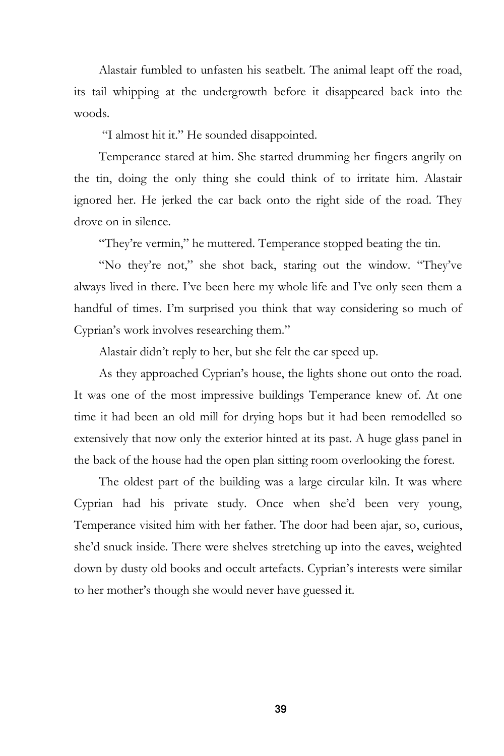Alastair fumbled to unfasten his seatbelt. The animal leapt off the road, its tail whipping at the undergrowth before it disappeared back into the woods.

"I almost hit it." He sounded disappointed.

Temperance stared at him. She started drumming her fingers angrily on the tin, doing the only thing she could think of to irritate him. Alastair ignored her. He jerked the car back onto the right side of the road. They drove on in silence.

"They're vermin," he muttered. Temperance stopped beating the tin.

"No they're not," she shot back, staring out the window. "They've always lived in there. I've been here my whole life and I've only seen them a handful of times. I'm surprised you think that way considering so much of Cyprian's work involves researching them."

Alastair didn't reply to her, but she felt the car speed up.

As they approached Cyprian's house, the lights shone out onto the road. It was one of the most impressive buildings Temperance knew of. At one time it had been an old mill for drying hops but it had been remodelled so extensively that now only the exterior hinted at its past. A huge glass panel in the back of the house had the open plan sitting room overlooking the forest.

The oldest part of the building was a large circular kiln. It was where Cyprian had his private study. Once when she'd been very young, Temperance visited him with her father. The door had been ajar, so, curious, she'd snuck inside. There were shelves stretching up into the eaves, weighted down by dusty old books and occult artefacts. Cyprian's interests were similar to her mother's though she would never have guessed it.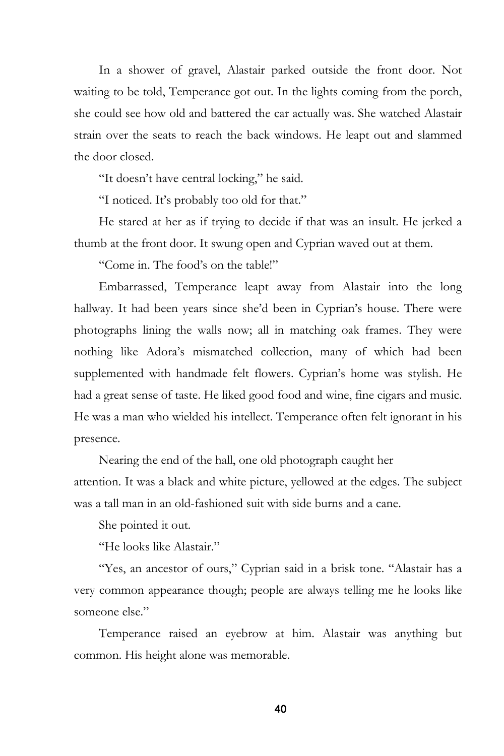In a shower of gravel, Alastair parked outside the front door. Not waiting to be told, Temperance got out. In the lights coming from the porch, she could see how old and battered the car actually was. She watched Alastair strain over the seats to reach the back windows. He leapt out and slammed the door closed.

"It doesn't have central locking," he said.

"I noticed. It's probably too old for that."

He stared at her as if trying to decide if that was an insult. He jerked a thumb at the front door. It swung open and Cyprian waved out at them.

"Come in. The food's on the table!"

Embarrassed, Temperance leapt away from Alastair into the long hallway. It had been years since she'd been in Cyprian's house. There were photographs lining the walls now; all in matching oak frames. They were nothing like Adora's mismatched collection, many of which had been supplemented with handmade felt flowers. Cyprian's home was stylish. He had a great sense of taste. He liked good food and wine, fine cigars and music. He was a man who wielded his intellect. Temperance often felt ignorant in his presence.

Nearing the end of the hall, one old photograph caught her attention. It was a black and white picture, yellowed at the edges. The subject was a tall man in an old-fashioned suit with side burns and a cane.

She pointed it out.

"He looks like Alastair."

"Yes, an ancestor of ours," Cyprian said in a brisk tone. "Alastair has a very common appearance though; people are always telling me he looks like someone else."

Temperance raised an eyebrow at him. Alastair was anything but common. His height alone was memorable.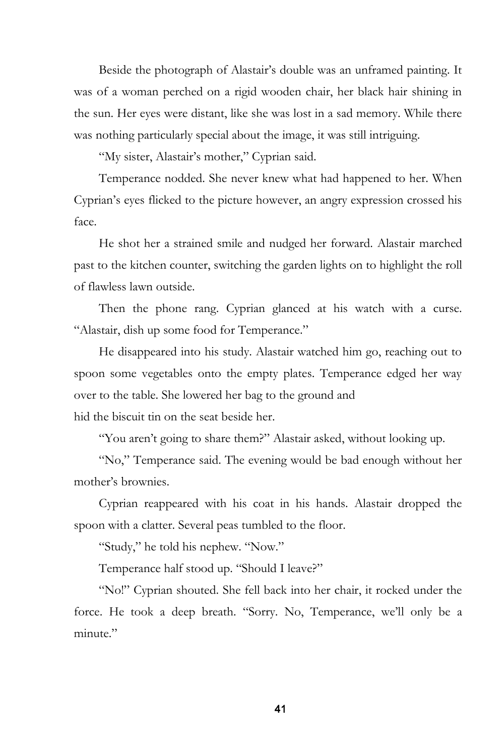Beside the photograph of Alastair's double was an unframed painting. It was of a woman perched on a rigid wooden chair, her black hair shining in the sun. Her eyes were distant, like she was lost in a sad memory. While there was nothing particularly special about the image, it was still intriguing.

"My sister, Alastair's mother," Cyprian said.

Temperance nodded. She never knew what had happened to her. When Cyprian's eyes flicked to the picture however, an angry expression crossed his face.

He shot her a strained smile and nudged her forward. Alastair marched past to the kitchen counter, switching the garden lights on to highlight the roll of flawless lawn outside.

Then the phone rang. Cyprian glanced at his watch with a curse. "Alastair, dish up some food for Temperance."

He disappeared into his study. Alastair watched him go, reaching out to spoon some vegetables onto the empty plates. Temperance edged her way over to the table. She lowered her bag to the ground and hid the biscuit tin on the seat beside her.

"You aren't going to share them?" Alastair asked, without looking up.

"No," Temperance said. The evening would be bad enough without her mother's brownies.

Cyprian reappeared with his coat in his hands. Alastair dropped the spoon with a clatter. Several peas tumbled to the floor.

"Study," he told his nephew. "Now."

Temperance half stood up. "Should I leave?"

"No!" Cyprian shouted. She fell back into her chair, it rocked under the force. He took a deep breath. "Sorry. No, Temperance, we'll only be a minute."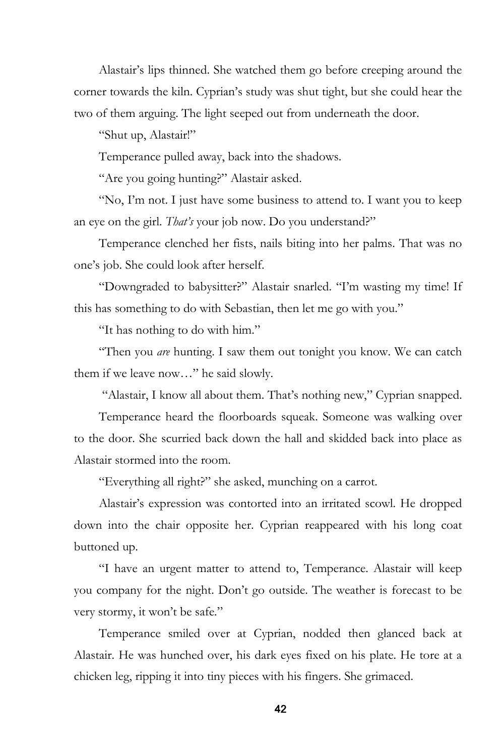Alastair's lips thinned. She watched them go before creeping around the corner towards the kiln. Cyprian's study was shut tight, but she could hear the two of them arguing. The light seeped out from underneath the door.

"Shut up, Alastair!"

Temperance pulled away, back into the shadows.

"Are you going hunting?" Alastair asked.

"No, I'm not. I just have some business to attend to. I want you to keep an eye on the girl. *That's* your job now. Do you understand?"

Temperance clenched her fists, nails biting into her palms. That was no one's job. She could look after herself.

"Downgraded to babysitter?" Alastair snarled. "I'm wasting my time! If this has something to do with Sebastian, then let me go with you."

"It has nothing to do with him."

"Then you *are* hunting. I saw them out tonight you know. We can catch them if we leave now…" he said slowly.

"Alastair, I know all about them. That's nothing new," Cyprian snapped.

Temperance heard the floorboards squeak. Someone was walking over to the door. She scurried back down the hall and skidded back into place as Alastair stormed into the room.

"Everything all right?" she asked, munching on a carrot.

Alastair's expression was contorted into an irritated scowl. He dropped down into the chair opposite her. Cyprian reappeared with his long coat buttoned up.

"I have an urgent matter to attend to, Temperance. Alastair will keep you company for the night. Don't go outside. The weather is forecast to be very stormy, it won't be safe."

Temperance smiled over at Cyprian, nodded then glanced back at Alastair. He was hunched over, his dark eyes fixed on his plate. He tore at a chicken leg, ripping it into tiny pieces with his fingers. She grimaced.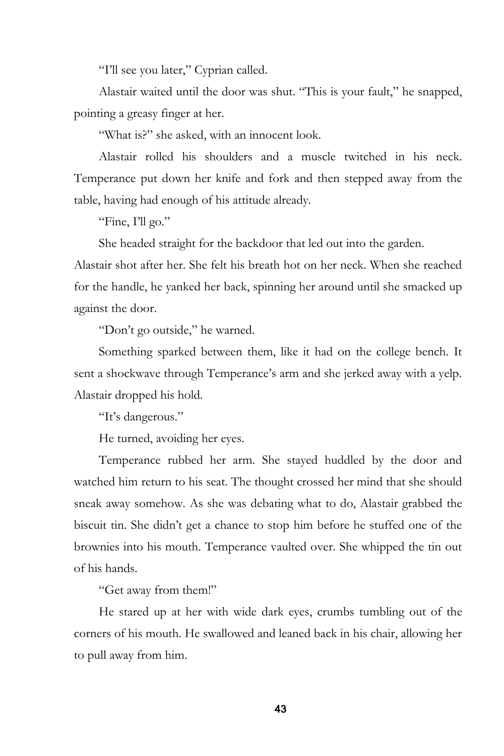"I'll see you later," Cyprian called.

Alastair waited until the door was shut. "This is your fault," he snapped, pointing a greasy finger at her.

"What is?" she asked, with an innocent look.

Alastair rolled his shoulders and a muscle twitched in his neck. Temperance put down her knife and fork and then stepped away from the table, having had enough of his attitude already.

"Fine, I'll go."

She headed straight for the backdoor that led out into the garden.

Alastair shot after her. She felt his breath hot on her neck. When she reached for the handle, he yanked her back, spinning her around until she smacked up against the door.

"Don't go outside," he warned.

Something sparked between them, like it had on the college bench. It sent a shockwave through Temperance's arm and she jerked away with a yelp. Alastair dropped his hold.

"It's dangerous."

He turned, avoiding her eyes.

Temperance rubbed her arm. She stayed huddled by the door and watched him return to his seat. The thought crossed her mind that she should sneak away somehow. As she was debating what to do, Alastair grabbed the biscuit tin. She didn't get a chance to stop him before he stuffed one of the brownies into his mouth. Temperance vaulted over. She whipped the tin out of his hands.

"Get away from them!"

He stared up at her with wide dark eyes, crumbs tumbling out of the corners of his mouth. He swallowed and leaned back in his chair, allowing her to pull away from him.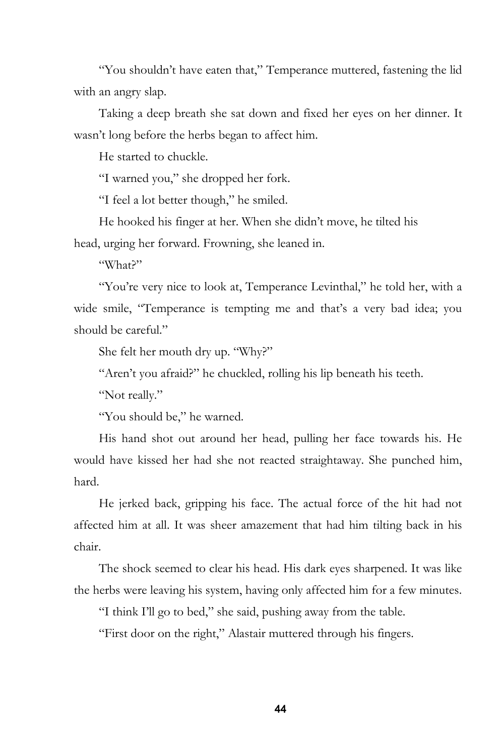"You shouldn't have eaten that," Temperance muttered, fastening the lid with an angry slap.

Taking a deep breath she sat down and fixed her eyes on her dinner. It wasn't long before the herbs began to affect him.

He started to chuckle.

"I warned you," she dropped her fork.

"I feel a lot better though," he smiled.

He hooked his finger at her. When she didn't move, he tilted his head, urging her forward. Frowning, she leaned in.

"What?"

"You're very nice to look at, Temperance Levinthal," he told her, with a wide smile, "Temperance is tempting me and that's a very bad idea; you should be careful."

She felt her mouth dry up. "Why?"

"Aren't you afraid?" he chuckled, rolling his lip beneath his teeth.

"Not really."

"You should be," he warned.

His hand shot out around her head, pulling her face towards his. He would have kissed her had she not reacted straightaway. She punched him, hard.

He jerked back, gripping his face. The actual force of the hit had not affected him at all. It was sheer amazement that had him tilting back in his chair.

The shock seemed to clear his head. His dark eyes sharpened. It was like the herbs were leaving his system, having only affected him for a few minutes.

"I think I'll go to bed," she said, pushing away from the table.

"First door on the right," Alastair muttered through his fingers.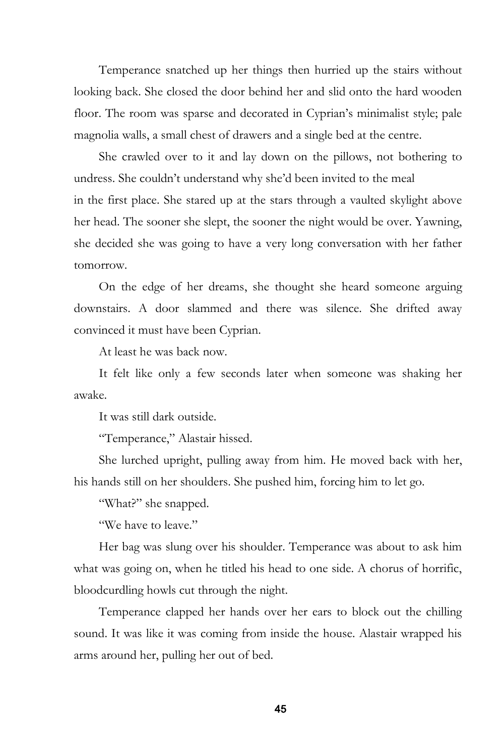Temperance snatched up her things then hurried up the stairs without looking back. She closed the door behind her and slid onto the hard wooden floor. The room was sparse and decorated in Cyprian's minimalist style; pale magnolia walls, a small chest of drawers and a single bed at the centre.

She crawled over to it and lay down on the pillows, not bothering to undress. She couldn't understand why she'd been invited to the meal in the first place. She stared up at the stars through a vaulted skylight above her head. The sooner she slept, the sooner the night would be over. Yawning, she decided she was going to have a very long conversation with her father tomorrow.

On the edge of her dreams, she thought she heard someone arguing downstairs. A door slammed and there was silence. She drifted away convinced it must have been Cyprian.

At least he was back now.

It felt like only a few seconds later when someone was shaking her awake.

It was still dark outside.

"Temperance," Alastair hissed.

She lurched upright, pulling away from him. He moved back with her, his hands still on her shoulders. She pushed him, forcing him to let go.

"What?" she snapped.

"We have to leave"

Her bag was slung over his shoulder. Temperance was about to ask him what was going on, when he titled his head to one side. A chorus of horrific, bloodcurdling howls cut through the night.

Temperance clapped her hands over her ears to block out the chilling sound. It was like it was coming from inside the house. Alastair wrapped his arms around her, pulling her out of bed.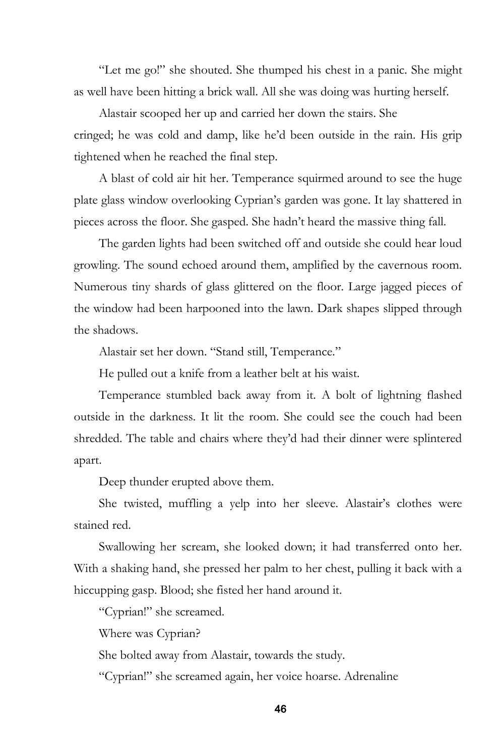"Let me go!" she shouted. She thumped his chest in a panic. She might as well have been hitting a brick wall. All she was doing was hurting herself.

Alastair scooped her up and carried her down the stairs. She cringed; he was cold and damp, like he'd been outside in the rain. His grip tightened when he reached the final step.

A blast of cold air hit her. Temperance squirmed around to see the huge plate glass window overlooking Cyprian's garden was gone. It lay shattered in pieces across the floor. She gasped. She hadn't heard the massive thing fall.

The garden lights had been switched off and outside she could hear loud growling. The sound echoed around them, amplified by the cavernous room. Numerous tiny shards of glass glittered on the floor. Large jagged pieces of the window had been harpooned into the lawn. Dark shapes slipped through the shadows.

Alastair set her down. "Stand still, Temperance."

He pulled out a knife from a leather belt at his waist.

Temperance stumbled back away from it. A bolt of lightning flashed outside in the darkness. It lit the room. She could see the couch had been shredded. The table and chairs where they'd had their dinner were splintered apart.

Deep thunder erupted above them.

She twisted, muffling a yelp into her sleeve. Alastair's clothes were stained red.

Swallowing her scream, she looked down; it had transferred onto her. With a shaking hand, she pressed her palm to her chest, pulling it back with a hiccupping gasp. Blood; she fisted her hand around it.

"Cyprian!" she screamed.

Where was Cyprian?

She bolted away from Alastair, towards the study.

"Cyprian!" she screamed again, her voice hoarse. Adrenaline